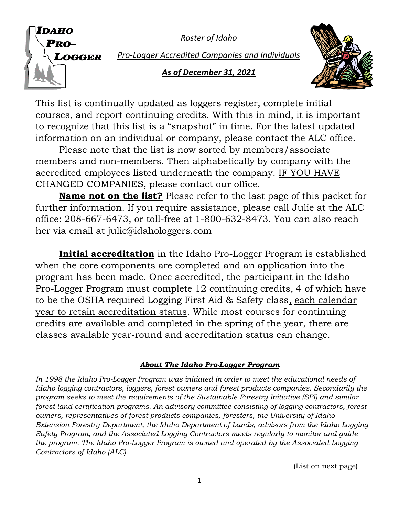*Roster of Idaho*



*Pro-Logger Accredited Companies and Individuals*

# *As of December 31, 2021*



This list is continually updated as loggers register, complete initial courses, and report continuing credits. With this in mind, it is important to recognize that this list is a "snapshot" in time. For the latest updated information on an individual or company, please contact the ALC office.

Please note that the list is now sorted by members/associate members and non-members. Then alphabetically by company with the accredited employees listed underneath the company. IF YOU HAVE CHANGED COMPANIES, please contact our office.

**Name not on the list?** Please refer to the last page of this packet for further information. If you require assistance, please call Julie at the ALC office: 208-667-6473, or toll-free at 1-800-632-8473. You can also reach her via email at julie@idahologgers.com

**Initial accreditation** in the Idaho Pro-Logger Program is established when the core components are completed and an application into the program has been made. Once accredited, the participant in the Idaho Pro-Logger Program must complete 12 continuing credits, 4 of which have to be the OSHA required Logging First Aid & Safety class, each calendar year to retain accreditation status. While most courses for continuing credits are available and completed in the spring of the year, there are classes available year-round and accreditation status can change.

# *About The Idaho Pro-Logger Program*

In 1998 the Idaho Pro-Logger Program was initiated in order to meet the educational needs of *Idaho logging contractors, loggers, forest owners and forest products companies. Secondarily the program seeks to meet the requirements of the Sustainable Forestry Initiative (SFI) and similar forest land certification programs. An advisory committee consisting of logging contractors, forest owners, representatives of forest products companies, foresters, the University of Idaho Extension Forestry Department, the Idaho Department of Lands, advisors from the Idaho Logging Safety Program, and the Associated Logging Contractors meets regularly to monitor and guide the program. The Idaho Pro-Logger Program is owned and operated by the Associated Logging Contractors of Idaho (ALC).*

(List on next page)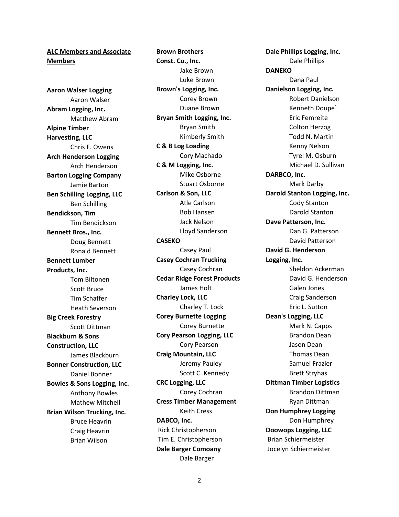## **ALC Members and Associate Members**

**Aaron Walser Logging** Aaron Walser **Abram Logging, Inc.** Matthew Abram **Alpine Timber Harvesting, LLC** Chris F. Owens **Arch Henderson Logging** Arch Henderson **Barton Logging Company** Jamie Barton **Ben Schilling Logging, LLC** Ben Schilling **Bendickson, Tim** Tim Bendickson **Bennett Bros., Inc.** Doug Bennett Ronald Bennett **Bennett Lumber Products, Inc.** Tom Biltonen Scott Bruce Tim Schaffer Heath Severson **Big Creek Forestry** Scott Dittman **Blackburn & Sons Construction, LLC** James Blackburn **Bonner Construction, LLC** Daniel Bonner **Bowles & Sons Logging, Inc.** Anthony Bowles Mathew Mitchell **Brian Wilson Trucking, Inc.** Bruce Heavrin Craig Heavrin Brian Wilson

**Brown Brothers Const. Co., Inc.** Jake Brown Luke Brown **Brown's Logging, Inc.** Corey Brown Duane Brown **Bryan Smith Logging, Inc.** Bryan Smith Kimberly Smith **C & B Log Loading** Cory Machado **C & M Logging, Inc.** Mike Osborne Stuart Osborne **Carlson & Son, LLC** Atle Carlson Bob Hansen Jack Nelson Lloyd Sanderson **CASEKO** Casey Paul **Casey Cochran Trucking** Casey Cochran **Cedar Ridge Forest Products** James Holt **Charley Lock, LLC** Charley T. Lock **Corey Burnette Logging** Corey Burnette **Cory Pearson Logging, LLC** Cory Pearson **Craig Mountain, LLC** Jeremy Pauley Scott C. Kennedy **CRC Logging, LLC** Corey Cochran **Cress Timber Management** Keith Cress **DABCO, Inc.** Rick Christopherson Tim E. Christopherson **Dale Barger Comoany** Dale Barger

**Dale Phillips Logging, Inc.** Dale Phillips **DANEKO** Dana Paul **Danielson Logging, Inc.** Robert Danielson Kenneth Doupe` Eric Femreite Colton Herzog Todd N. Martin Kenny Nelson Tyrel M. Osburn Michael D. Sullivan **DARBCO, Inc.** Mark Darby **Darold Stanton Logging, Inc.** Cody Stanton Darold Stanton **Dave Patterson, Inc.** Dan G. Patterson David Patterson **David G. Henderson Logging, Inc.** Sheldon Ackerman David G. Henderson Galen Jones Craig Sanderson Eric L. Sutton **Dean's Logging, LLC** Mark N. Capps Brandon Dean Jason Dean Thomas Dean Samuel Frazier Brett Stryhas **Dittman Timber Logistics** Brandon Dittman Ryan Dittman **Don Humphrey Logging** Don Humphrey **Doowops Logging, LLC** Brian Schiermeister Jocelyn Schiermeister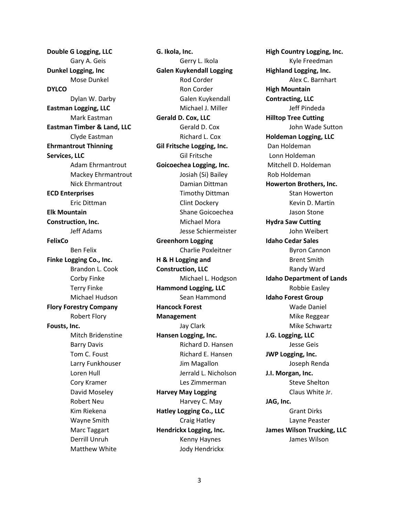**Double G Logging, LLC** Gary A. Geis **Dunkel Logging, Inc** Mose Dunkel **DYLCO** Dylan W. Darby **Eastman Logging, LLC** Mark Eastman **Eastman Timber & Land, LLC** Clyde Eastman **Ehrmantrout Thinning Services, LLC** Adam Ehrmantrout Mackey Ehrmantrout Nick Ehrmantrout **ECD Enterprises** Eric Dittman **Elk Mountain Construction, Inc.** Jeff Adams **FelixCo** Ben Felix **Finke Logging Co., Inc.** Brandon L. Cook Corby Finke Terry Finke Michael Hudson **Flory Forestry Company** Robert Flory **Fousts, Inc.** Mitch Bridenstine Barry Davis Tom C. Foust Larry Funkhouser Loren Hull Cory Kramer David Moseley Robert Neu Kim Riekena Wayne Smith Marc Taggart Derrill Unruh Matthew White

**G. Ikola, Inc.** Gerry L. Ikola **Galen Kuykendall Logging** Rod Corder Ron Corder Galen Kuykendall Michael J. Miller **Gerald D. Cox, LLC** Gerald D. Cox Richard L. Cox **Gil Fritsche Logging, Inc.** Gil Fritsche **Goicoechea Logging, Inc.** Josiah (Si) Bailey Damian Dittman Timothy Dittman Clint Dockery Shane Goicoechea Michael Mora Jesse Schiermeister **Greenhorn Logging** Charlie Poxleitner **H & H Logging and Construction, LLC** Michael L. Hodgson **Hammond Logging, LLC** Sean Hammond **Hancock Forest Management** Jay Clark **Hansen Logging, Inc.** Richard D. Hansen Richard E. Hansen Jim Magallon Jerrald L. Nicholson Les Zimmerman **Harvey May Logging** Harvey C. May **Hatley Logging Co., LLC** Craig Hatley **Hendrickx Logging, Inc.** Kenny Haynes Jody Hendrickx

**High Country Logging, Inc.** Kyle Freedman **Highland Logging, Inc.** Alex C. Barnhart **High Mountain Contracting, LLC** Jeff Pindeda **Hilltop Tree Cutting** John Wade Sutton **Holdeman Logging, LLC** Dan Holdeman Lonn Holdeman Mitchell D. Holdeman Rob Holdeman **Howerton Brothers, Inc.** Stan Howerton Kevin D. Martin Jason Stone **Hydra Saw Cutting** John Weibert **Idaho Cedar Sales** Byron Cannon Brent Smith Randy Ward **Idaho Department of Lands** Robbie Easley **Idaho Forest Group** Wade Daniel Mike Reggear Mike Schwartz **J.G. Logging, LLC** Jesse Geis **JWP Logging, Inc.** Joseph Renda **J.I. Morgan, Inc.** Steve Shelton Claus White Jr. **JAG, Inc.** Grant Dirks Layne Peaster **James Wilson Trucking, LLC** James Wilson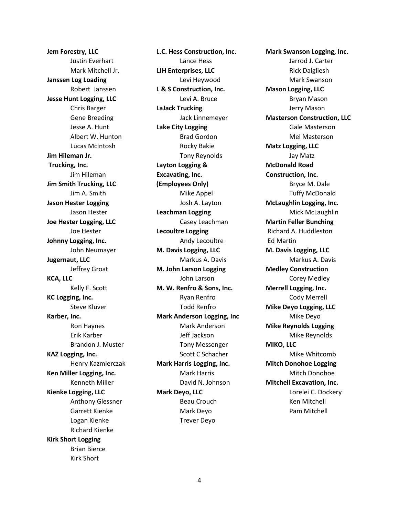**Jem Forestry, LLC** Justin Everhart Mark Mitchell Jr. **Janssen Log Loading** Robert Janssen **Jesse Hunt Logging, LLC** Chris Barger Gene Breeding Jesse A. Hunt Albert W. Hunton Lucas McIntosh **Jim Hileman Jr. Trucking, Inc.** Jim Hileman **Jim Smith Trucking, LLC** Jim A. Smith **Jason Hester Logging** Jason Hester **Joe Hester Logging, LLC** Joe Hester **Johnny Logging, Inc.** John Neumayer **Jugernaut, LLC** Jeffrey Groat **KCA, LLC** Kelly F. Scott **KC Logging, Inc.** Steve Kluver **Karber, Inc.** Ron Haynes Erik Karber Brandon J. Muster **KAZ Logging, Inc.** Henry Kazmierczak **Ken Miller Logging, Inc.** Kenneth Miller **Kienke Logging, LLC** Anthony Glessner Garrett Kienke Logan Kienke Richard Kienke **Kirk Short Logging** Brian Bierce Kirk Short

**L.C. Hess Construction, Inc.** Lance Hess **LJH Enterprises, LLC** Levi Heywood **L & S Construction, Inc.** Levi A. Bruce **LaJack Trucking** Jack Linnemeyer **Lake City Logging** Brad Gordon Rocky Bakie Tony Reynolds **Layton Logging & Excavating, Inc. (Employees Only)** Mike Appel Josh A. Layton **Leachman Logging** Casey Leachman **Lecoultre Logging** Andy Lecoultre **M. Davis Logging, LLC** Markus A. Davis **M. John Larson Logging** John Larson **M. W. Renfro & Sons, Inc.** Ryan Renfro Todd Renfro **Mark Anderson Logging, Inc** Mark Anderson Jeff Jackson Tony Messenger Scott C Schacher **Mark Harris Logging, Inc.** Mark Harris David N. Johnson **Mark Deyo, LLC** Beau Crouch Mark Deyo Trever Deyo

**Mark Swanson Logging, Inc.** Jarrod J. Carter Rick Dalgliesh Mark Swanson **Mason Logging, LLC** Bryan Mason Jerry Mason **Masterson Construction, LLC** Gale Masterson Mel Masterson **Matz Logging, LLC** Jay Matz **McDonald Road Construction, Inc.** Bryce M. Dale Tuffy McDonald **McLaughlin Logging, Inc.** Mick McLaughlin **Martin Feller Bunching** Richard A. Huddleston Ed Martin **M. Davis Logging, LLC** Markus A. Davis **Medley Construction** Corey Medley **Merrell Logging, Inc.** Cody Merrell **Mike Deyo Logging, LLC** Mike Deyo **Mike Reynolds Logging** Mike Reynolds **MIKO, LLC** Mike Whitcomb **Mitch Donohoe Logging** Mitch Donohoe **Mitchell Excavation, Inc.** Lorelei C. Dockery Ken Mitchell Pam Mitchell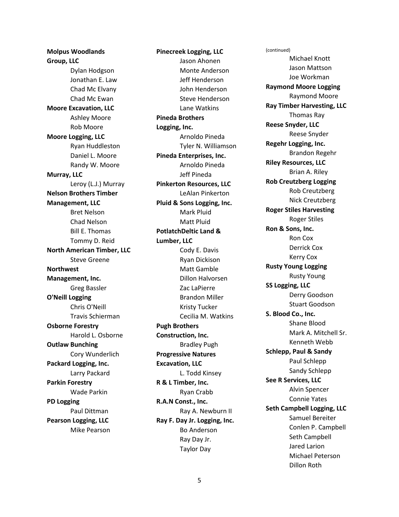**Molpus Woodlands Group, LLC** Dylan Hodgson Jonathan E. Law Chad Mc Elvany Chad Mc Ewan **Moore Excavation, LLC** Ashley Moore Rob Moore **Moore Logging, LLC** Ryan Huddleston Daniel L. Moore Randy W. Moore **Murray, LLC** Leroy (L.J.) Murray **Nelson Brothers Timber Management, LLC** Bret Nelson Chad Nelson Bill E. Thomas Tommy D. Reid **North American Timber, LLC** Steve Greene **Northwest Management, Inc.** Greg Bassler **O'Neill Logging** Chris O'Neill Travis Schierman **Osborne Forestry** Harold L. Osborne **Outlaw Bunching** Cory Wunderlich **Packard Logging, Inc.** Larry Packard **Parkin Forestry** Wade Parkin **PD Logging** Paul Dittman **Pearson Logging, LLC** Mike Pearson

**Pinecreek Logging, LLC** Jason Ahonen Monte Anderson Jeff Henderson John Henderson Steve Henderson Lane Watkins **Pineda Brothers Logging, Inc.** Arnoldo Pineda Tyler N. Williamson **Pineda Enterprises, Inc.**  Arnoldo Pineda Jeff Pineda **Pinkerton Resources, LLC** LeAlan Pinkerton **Pluid & Sons Logging, Inc.** Mark Pluid Matt Pluid **PotlatchDeltic Land & Lumber, LLC** Cody E. Davis Ryan Dickison Matt Gamble Dillon Halvorsen Zac LaPierre Brandon Miller Kristy Tucker Cecilia M. Watkins **Pugh Brothers Construction, Inc.** Bradley Pugh **Progressive Natures Excavation, LLC** L. Todd Kinsey **R & L Timber, Inc.** Ryan Crabb **R.A.N Const., Inc.** Ray A. Newburn II **Ray F. Day Jr. Logging, Inc.** Bo Anderson Ray Day Jr. Taylor Day

(continued) Michael Knott Jason Mattson Joe Workman **Raymond Moore Logging** Raymond Moore **Ray Timber Harvesting, LLC** Thomas Ray **Reese Snyder, LLC** Reese Snyder **Regehr Logging, Inc.** Brandon Regehr **Riley Resources, LLC** Brian A. Riley **Rob Creutzberg Logging** Rob Creutzberg Nick Creutzberg **Roger Stiles Harvesting** Roger Stiles **Ron & Sons, Inc.** Ron Cox Derrick Cox Kerry Cox **Rusty Young Logging** Rusty Young **SS Logging, LLC** Derry Goodson Stuart Goodson **S. Blood Co., Inc.** Shane Blood Mark A. Mitchell Sr. Kenneth Webb **Schlepp, Paul & Sandy** Paul Schlepp Sandy Schlepp **See R Services, LLC** Alvin Spencer Connie Yates **Seth Campbell Logging, LLC** Samuel Bereiter Conlen P. Campbell Seth Campbell Jared Larion Michael Peterson Dillon Roth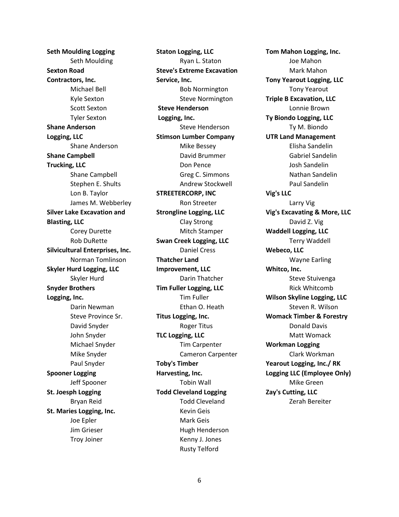**Seth Moulding Logging** Seth Moulding **Sexton Road Contractors, Inc.** Michael Bell Kyle Sexton Scott Sexton Tyler Sexton **Shane Anderson Logging, LLC** Shane Anderson **Shane Campbell Trucking, LLC** Shane Campbell Stephen E. Shults Lon B. Taylor James M. Webberley **Silver Lake Excavation and Blasting, LLC** Corey Durette Rob DuRette **Silvicultural Enterprises, Inc.** Norman Tomlinson **Skyler Hurd Logging, LLC** Skyler Hurd **Snyder Brothers Logging, Inc.** Darin Newman Steve Province Sr. David Snyder John Snyder Michael Snyder Mike Snyder Paul Snyder **Spooner Logging** Jeff Spooner **St. Joesph Logging** Bryan Reid **St. Maries Logging, Inc.** Joe Epler Jim Grieser Troy Joiner

**Staton Logging, LLC** Ryan L. Staton **Steve's Extreme Excavation Service, Inc.** Bob Normington Steve Normington **Steve Henderson Logging, Inc.** Steve Henderson **Stimson Lumber Company** Mike Bessey David Brummer Don Pence Greg C. Simmons Andrew Stockwell **STREETERCORP, INC** Ron Streeter **Strongline Logging, LLC** Clay Strong Mitch Stamper **Swan Creek Logging, LLC** Daniel Cress **Thatcher Land Improvement, LLC** Darin Thatcher **Tim Fuller Logging, LLC** Tim Fuller Ethan O. Heath **Titus Logging, Inc.** Roger Titus **TLC Logging, LLC** Tim Carpenter Cameron Carpenter **Toby's Timber Harvesting, Inc.** Tobin Wall **Todd Cleveland Logging** Todd Cleveland Kevin Geis Mark Geis Hugh Henderson Kenny J. Jones Rusty Telford

**Tom Mahon Logging, Inc.** Joe Mahon Mark Mahon **Tony Yearout Logging, LLC** Tony Yearout **Triple B Excavation, LLC** Lonnie Brown **Ty Biondo Logging, LLC** Ty M. Biondo **UTR Land Management** Elisha Sandelin Gabriel Sandelin Josh Sandelin Nathan Sandelin Paul Sandelin **Vig's LLC** Larry Vig **Vig's Excavating & More, LLC** David Z. Vig **Waddell Logging, LLC** Terry Waddell **Webeco, LLC** Wayne Earling **Whitco, Inc.** Steve Stuivenga Rick Whitcomb **Wilson Skyline Logging, LLC** Steven R. Wilson **Womack Timber & Forestry** Donald Davis Matt Womack **Workman Logging** Clark Workman **Yearout Logging, Inc./ RK Logging LLC (Employee Only)** Mike Green **Zay's Cutting, LLC** Zerah Bereiter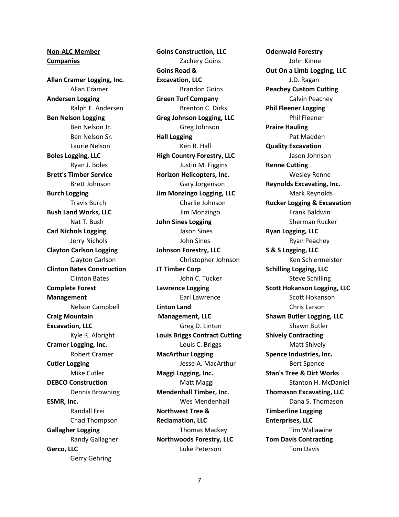**Non-ALC Member Companies Allan Cramer Logging, Inc.** Allan Cramer **Andersen Logging** Ralph E. Andersen **Ben Nelson Logging** Ben Nelson Jr. Ben Nelson Sr. Laurie Nelson **Boles Logging, LLC** Ryan J. Boles **Brett's Timber Service** Brett Johnson **Burch Logging** Travis Burch **Bush Land Works, LLC** Nat T. Bush **Carl Nichols Logging** Jerry Nichols **Clayton Carlson Logging** Clayton Carlson **Clinton Bates Construction** Clinton Bates **Complete Forest Management** Nelson Campbell **Craig Mountain Excavation, LLC** Kyle R. Albright **Cramer Logging, Inc.** Robert Cramer **Cutler Logging** Mike Cutler **DEBCO Construction** Dennis Browning **ESMR, Inc.** Randall Frei Chad Thompson **Gallagher Logging** Randy Gallagher **Gerco, LLC** Gerry Gehring

**Goins Construction, LLC** Zachery Goins **Goins Road & Excavation, LLC** Brandon Goins **Green Turf Company** Brenton C. Dirks **Greg Johnson Logging, LLC** Greg Johnson **Hall Logging** Ken R. Hall **High Country Forestry, LLC** Justin M. Figgins **Horizon Helicopters, Inc.** Gary Jorgenson **Jim Monzingo Logging, LLC** Charlie Johnson Jim Monzingo **John Sines Logging** Jason Sines John Sines **Johnson Forestry, LLC** Christopher Johnson **JT Timber Corp** John C. Tucker **Lawrence Logging** Earl Lawrence **Linton Land Management, LLC** Greg D. Linton **Louis Briggs Contract Cutting** Louis C. Briggs **MacArthur Logging** Jesse A. MacArthur **Maggi Logging, Inc.** Matt Maggi **Mendenhall Timber, Inc.** Wes Mendenhall **Northwest Tree & Reclamation, LLC** Thomas Mackey **Northwoods Forestry, LLC** Luke Peterson

**Odenwald Forestry** John Kinne **Out On a Limb Logging, LLC** J.D. Ragan **Peachey Custom Cutting** Calvin Peachey **Phil Fleener Logging** Phil Fleener **Praire Hauling** Pat Madden **Quality Excavation** Jason Johnson **Renne Cutting** Wesley Renne **Reynolds Excavating, Inc.** Mark Reynolds **Rucker Logging & Excavation** Frank Baldwin Sherman Rucker **Ryan Logging, LLC** Ryan Peachey **S & S Logging, LLC** Ken Schiermeister **Schilling Logging, LLC** Steve Schilling **Scott Hokanson Logging, LLC** Scott Hokanson Chris Larson **Shawn Butler Logging, LLC** Shawn Butler **Shively Contracting** Matt Shively **Spence Industries, Inc.** Bert Spence **Stan's Tree & Dirt Works** Stanton H. McDaniel **Thomason Excavating, LLC** Dana S. Thomason **Timberline Logging Enterprises, LLC** Tim Wallawine **Tom Davis Contracting** Tom Davis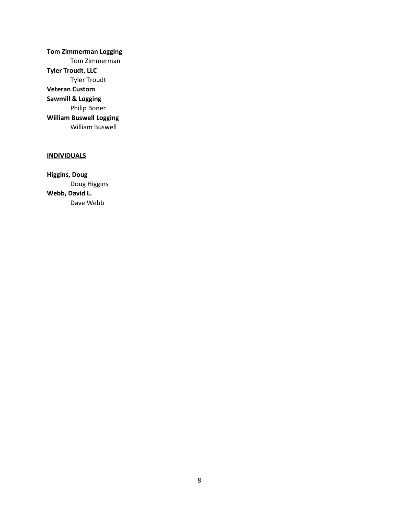**Tom Zimmerman Logging** Tom Zimmerman **Tyler Troudt, LLC** Tyler Troudt **Veteran Custom Sawmill & Logging** Philip Boner **William Buswell Logging** William Buswell

# **INDIVIDUALS**

**Higgins, Doug** Doug Higgins **Webb, David L.** Dave Webb